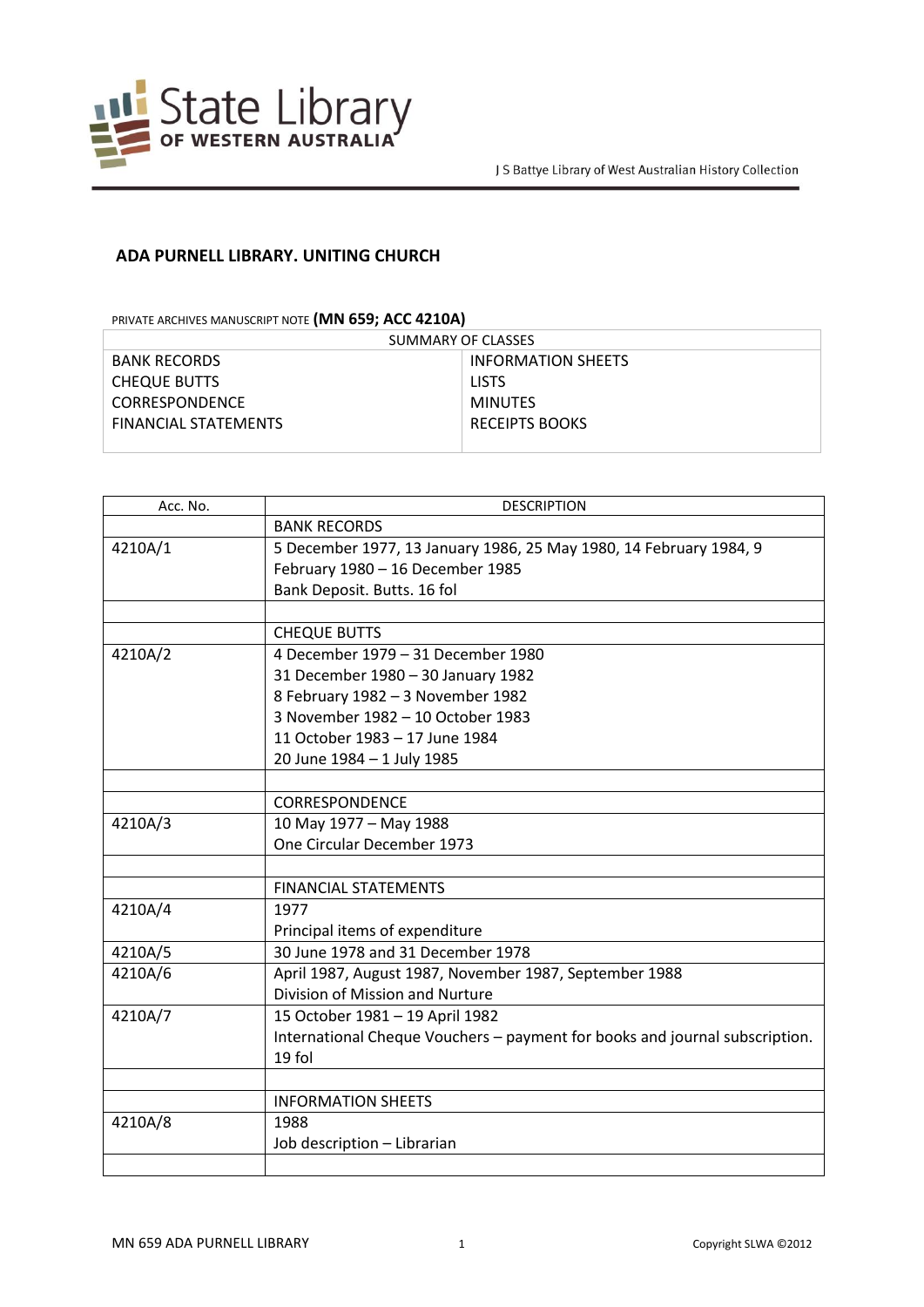

## **ADA PURNELL LIBRARY. UNITING CHURCH**

PRIVATE ARCHIVES MANUSCRIPT NOTE **(MN 659; ACC 4210A)**

| SUMMARY OF CLASSES    |                    |
|-----------------------|--------------------|
| <b>BANK RECORDS</b>   | INFORMATION SHEETS |
| <b>CHEQUE BUTTS</b>   | <b>LISTS</b>       |
| <b>CORRESPONDENCE</b> | MINUTES            |
| FINANCIAL STATEMENTS  | RECEIPTS BOOKS     |
|                       |                    |

| Acc. No. | <b>DESCRIPTION</b>                                                          |
|----------|-----------------------------------------------------------------------------|
|          | <b>BANK RECORDS</b>                                                         |
| 4210A/1  | 5 December 1977, 13 January 1986, 25 May 1980, 14 February 1984, 9          |
|          | February 1980 - 16 December 1985                                            |
|          | Bank Deposit. Butts. 16 fol                                                 |
|          |                                                                             |
|          | <b>CHEQUE BUTTS</b>                                                         |
| 4210A/2  | 4 December 1979 – 31 December 1980                                          |
|          | 31 December 1980 - 30 January 1982                                          |
|          | 8 February 1982 - 3 November 1982                                           |
|          | 3 November 1982 - 10 October 1983                                           |
|          | 11 October 1983 - 17 June 1984                                              |
|          | 20 June 1984 - 1 July 1985                                                  |
|          |                                                                             |
|          | <b>CORRESPONDENCE</b>                                                       |
| 4210A/3  | 10 May 1977 - May 1988                                                      |
|          | One Circular December 1973                                                  |
|          |                                                                             |
|          | <b>FINANCIAL STATEMENTS</b>                                                 |
| 4210A/4  | 1977                                                                        |
|          | Principal items of expenditure                                              |
| 4210A/5  | 30 June 1978 and 31 December 1978                                           |
| 4210A/6  | April 1987, August 1987, November 1987, September 1988                      |
|          | Division of Mission and Nurture                                             |
| 4210A/7  | 15 October 1981 - 19 April 1982                                             |
|          | International Cheque Vouchers - payment for books and journal subscription. |
|          | 19 fol                                                                      |
|          |                                                                             |
|          | <b>INFORMATION SHEETS</b>                                                   |
| 4210A/8  | 1988                                                                        |
|          | Job description - Librarian                                                 |
|          |                                                                             |